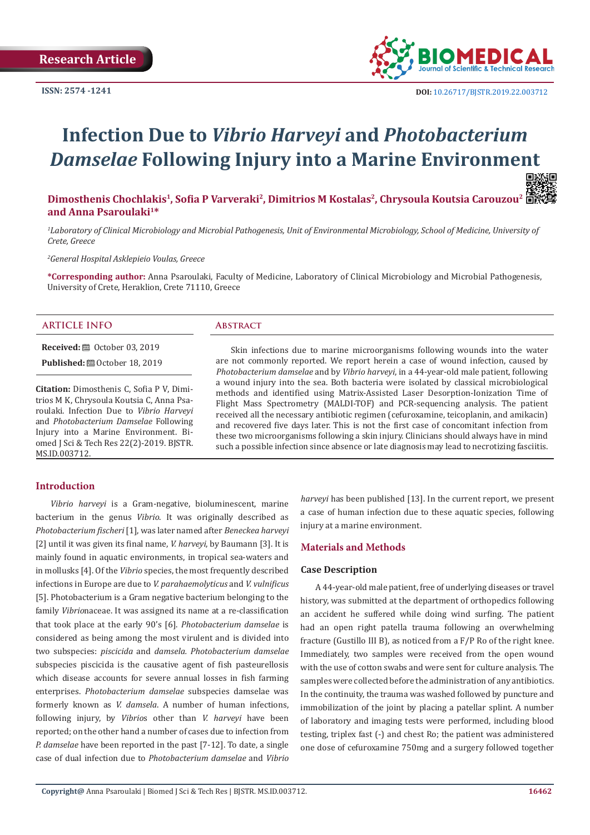

# **Infection Due to** *Vibrio Harveyi* **and** *Photobacterium Damselae* **Following Injury into a Marine Environment**

**Dimosthenis Chochlakis<sup>1</sup>, Sofia P Varveraki<sup>2</sup>, Dimitrios M Kostalas<sup>2</sup>, Chrysoula Koutsia Carouzou<sup>2</sup> and Anna Psaroulaki1\***

*1 Laboratory of Clinical Microbiology and Microbial Pathogenesis, Unit of Environmental Microbiology, School of Medicine, University of Crete, Greece*

*2 General Hospital Asklepieio Voulas, Greece*

**\*Corresponding author:** Anna Psaroulaki, Faculty of Medicine, Laboratory of Clinical Microbiology and Microbial Pathogenesis, University of Crete, Heraklion, Crete 71110, Greece

#### **ARTICLE INFO Abstract**

**Received:** ■ October 03, 2019

**Published:** ■ October 18, 2019

**Citation:** Dimosthenis C, Sofia P V, Dimitrios M K, Chrysoula Koutsia C, Anna Psaroulaki. Infection Due to *Vibrio Harveyi*  and *Photobacterium Damselae* Following Injury into a Marine Environment. Biomed J Sci & Tech Res 22(2)-2019. BJSTR. MS.ID.003712.

Skin infections due to marine microorganisms following wounds into the water are not commonly reported. We report herein a case of wound infection, caused by *Photobacterium damselae* and by *Vibrio harveyi*, in a 44-year-old male patient, following a wound injury into the sea. Both bacteria were isolated by classical microbiological methods and identified using Matrix-Assisted Laser Desorption-Ionization Time of Flight Mass Spectrometry (MALDI-TOF) and PCR-sequencing analysis. The patient received all the necessary antibiotic regimen (cefuroxamine, teicoplanin, and amikacin) and recovered five days later. This is not the first case of concomitant infection from these two microorganisms following a skin injury. Clinicians should always have in mind such a possible infection since absence or late diagnosis may lead to necrotizing fasciitis.

# **Introduction**

*Vibrio harveyi* is a Gram-negative, bioluminescent, marine bacterium in the genus *Vibrio*. It was originally described as *Photobacterium fischeri* [1], was later named after *Beneckea harveyi*  [2] until it was given its final name, *V. harveyi*, by Baumann [3]. It is mainly found in aquatic environments, in tropical sea-waters and in mollusks [4]. Of the *Vibrio* species, the most frequently described infections in Europe are due to *V. parahaemolyticus* and *V. vulnificus* [5]. Photobacterium is a Gram negative bacterium belonging to the family *Vibrio*naceae. It was assigned its name at a re-classification that took place at the early 90's [6]. *Photobacterium damselae* is considered as being among the most virulent and is divided into two subspecies: *piscicida* and *damsela. Photobacterium damselae* subspecies piscicida is the causative agent of fish pasteurellosis which disease accounts for severe annual losses in fish farming enterprises. *Photobacterium damselae* subspecies damselae was formerly known as *V. damsela*. A number of human infections, following injury, by *Vibrio*s other than *V. harveyi* have been reported; on the other hand a number of cases due to infection from *P. damselae* have been reported in the past [7-12]. To date, a single case of dual infection due to *Photobacterium damselae* and *Vibrio* 

*harveyi* has been published [13]. In the current report, we present a case of human infection due to these aquatic species, following injury at a marine environment.

#### **Materials and Methods**

#### **Case Description**

A 44-year-old male patient, free of underlying diseases or travel history, was submitted at the department of orthopedics following an accident he suffered while doing wind surfing. The patient had an open right patella trauma following an overwhelming fracture (Gustillo III B), as noticed from a F/P Ro of the right knee. Immediately, two samples were received from the open wound with the use of cotton swabs and were sent for culture analysis. The samples were collected before the administration of any antibiotics. In the continuity, the trauma was washed followed by puncture and immobilization of the joint by placing a patellar splint. A number of laboratory and imaging tests were performed, including blood testing, triplex fast (-) and chest Ro; the patient was administered one dose of cefuroxamine 750mg and a surgery followed together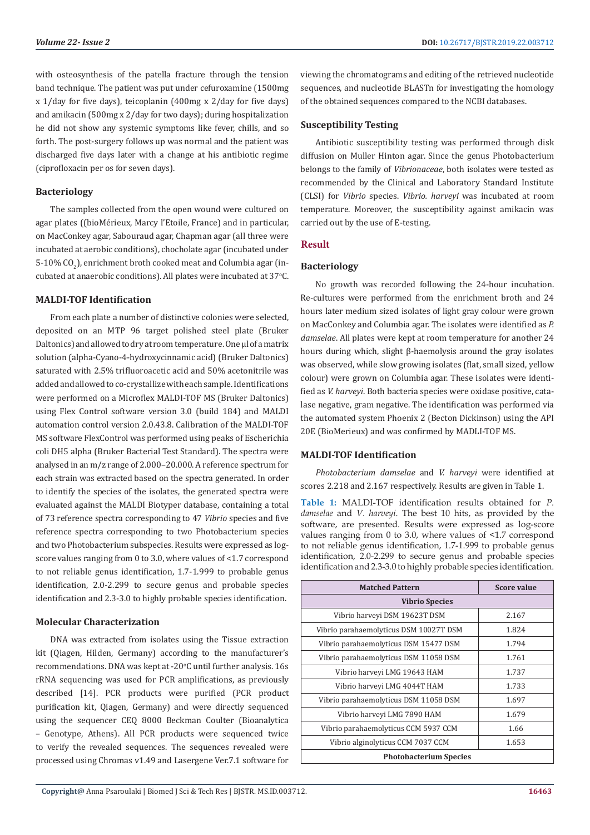with osteosynthesis of the patella fracture through the tension band technique. The patient was put under cefuroxamine (1500mg x 1/day for five days), teicoplanin (400mg x 2/day for five days) and amikacin (500mg x 2/day for two days); during hospitalization he did not show any systemic symptoms like fever, chills, and so forth. The post-surgery follows up was normal and the patient was discharged five days later with a change at his antibiotic regime (ciprofloxacin per os for seven days).

#### **Bacteriology**

The samples collected from the open wound were cultured on agar plates ((bioMérieux, Marcy l'Etoile, France) and in particular, on MacConkey agar, Sabouraud agar, Chapman agar (all three were incubated at aerobic conditions), chocholate agar (incubated under 5-10% CO $_{\textrm{\tiny{\it 2}}}$ ), enrichment broth cooked meat and Columbia agar (incubated at anaerobic conditions). All plates were incubated at 37°C.

# **MALDI-TOF Identification**

From each plate a number of distinctive colonies were selected, deposited on an MTP 96 target polished steel plate (Bruker Daltonics) and allowed to dry at room temperature. One μl of a matrix solution (alpha-Cyano-4-hydroxycinnamic acid) (Bruker Daltonics) saturated with 2.5% trifluoroacetic acid and 50% acetonitrile was added and allowed to co-crystallize with each sample. Identifications were performed on a Microflex MALDI-TOF MS (Bruker Daltonics) using Flex Control software version 3.0 (build 184) and MALDI automation control version 2.0.43.8. Calibration of the MALDI-TOF MS software FlexControl was performed using peaks of Escherichia coli DH5 alpha (Bruker Bacterial Test Standard). The spectra were analysed in an m/z range of 2.000–20.000. A reference spectrum for each strain was extracted based on the spectra generated. In order to identify the species of the isolates, the generated spectra were evaluated against the MALDI Biotyper database, containing a total of 73 reference spectra corresponding to 47 *Vibrio* species and five reference spectra corresponding to two Photobacterium species and two Photobacterium subspecies. Results were expressed as logscore values ranging from 0 to 3.0, where values of <1.7 correspond to not reliable genus identification, 1.7-1.999 to probable genus identification, 2.0-2.299 to secure genus and probable species identification and 2.3-3.0 to highly probable species identification.

#### **Molecular Characterization**

DNA was extracted from isolates using the Tissue extraction kit (Qiagen, Hilden, Germany) according to the manufacturer's recommendations. DNA was kept at -20°C until further analysis. 16s rRNA sequencing was used for PCR amplifications, as previously described [14]. PCR products were purified (PCR product purification kit, Qiagen, Germany) and were directly sequenced using the sequencer CEQ 8000 Beckman Coulter (Bioanalytica – Genotype, Athens). All PCR products were sequenced twice to verify the revealed sequences. The sequences revealed were processed using Chromas v1.49 and Lasergene Ver.7.1 software for

viewing the chromatograms and editing of the retrieved nucleotide sequences, and nucleotide BLASTn for investigating the homology of the obtained sequences compared to the NCBI databases.

### **Susceptibility Testing**

Antibiotic susceptibility testing was performed through disk diffusion on Muller Hinton agar. Since the genus Photobacterium belongs to the family of *Vibrionaceae*, both isolates were tested as recommended by the Clinical and Laboratory Standard Institute (CLSI) for *Vibrio* species. *Vibrio. harveyi* was incubated at room temperature. Moreover, the susceptibility against amikacin was carried out by the use of E-testing.

#### **Result**

### **Bacteriology**

No growth was recorded following the 24-hour incubation. Re-cultures were performed from the enrichment broth and 24 hours later medium sized isolates of light gray colour were grown on MacConkey and Columbia agar. The isolates were identified as *P. damselae*. All plates were kept at room temperature for another 24 hours during which, slight β-haemolysis around the gray isolates was observed, while slow growing isolates (flat, small sized, yellow colour) were grown on Columbia agar. These isolates were identified as *V. harveyi*. Both bacteria species were oxidase positive, catalase negative, gram negative. The identification was performed via the automated system Phoenix 2 (Becton Dickinson) using the API 20E (BioMerieux) and was confirmed by MADLI-TOF MS.

#### **MALDI-TOF Identification**

*Photobacterium damselae* and *V. harveyi* were identified at scores 2.218 and 2.167 respectively. Results are given in Table 1.

**Table 1:** MALDI-TOF identification results obtained for *P. damselae* and *V. harveyi*. The best 10 hits, as provided by the software, are presented. Results were expressed as log-score values ranging from 0 to 3.0, where values of <1.7 correspond to not reliable genus identification, 1.7-1.999 to probable genus identification, 2.0-2.299 to secure genus and probable species identification and 2.3-3.0 to highly probable species identification.

| <b>Matched Pattern</b>                 | Score value |  |
|----------------------------------------|-------------|--|
| <b>Vibrio Species</b>                  |             |  |
| Vibrio harveyi DSM 19623T DSM          | 2.167       |  |
| Vibrio parahaemolyticus DSM 10027T DSM | 1.824       |  |
| Vibrio parahaemolyticus DSM 15477 DSM  | 1.794       |  |
| Vibrio parahaemolyticus DSM 11058 DSM  | 1.761       |  |
| Vibrio harveyi LMG 19643 HAM           | 1.737       |  |
| Vibrio harveyi LMG 4044T HAM           | 1.733       |  |
| Vibrio parahaemolyticus DSM 11058 DSM  | 1.697       |  |
| Vibrio harveyi LMG 7890 HAM            | 1.679       |  |
| Vibrio parahaemolyticus CCM 5937 CCM   | 1.66        |  |
| Vibrio alginolyticus CCM 7037 CCM      | 1.653       |  |
| <b>Photobacterium Species</b>          |             |  |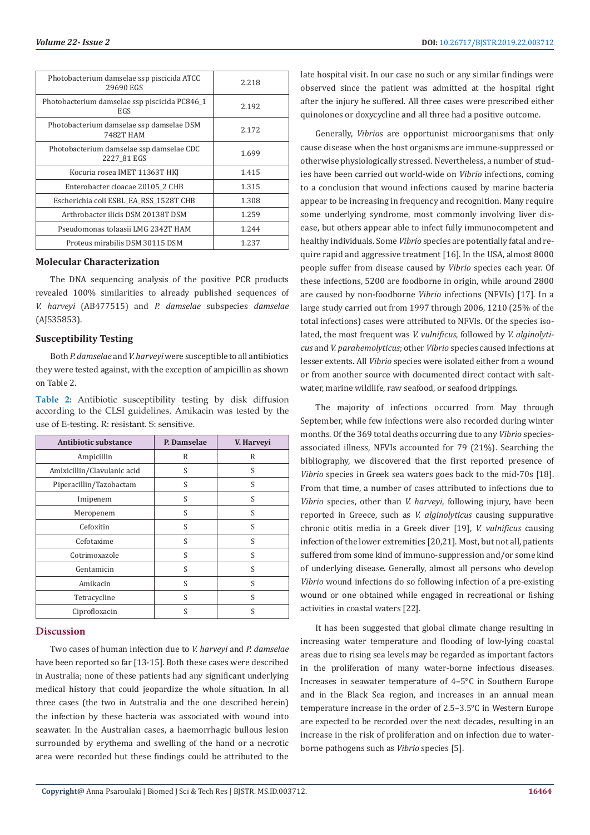| Photobacterium damselae ssp piscicida ATCC<br>29690 EGS | 2.218 |
|---------------------------------------------------------|-------|
| Photobacterium damselae ssp piscicida PC846_1<br>EGS    | 2.192 |
| Photobacterium damselae ssp damselae DSM<br>7482T HAM   | 2.172 |
| Photobacterium damselae ssp damselae CDC<br>2227 81 EGS | 1.699 |
| Kocuria rosea IMET 11363T HKI                           | 1.415 |
| Enterobacter cloacae 20105 2 CHB                        | 1.315 |
| Escherichia coli ESBL_EA_RSS_1528T CHB                  | 1.308 |
| Arthrobacter ilicis DSM 20138T DSM                      | 1.259 |
| Pseudomonas tolaasii LMG 2342T HAM                      | 1.244 |
| Proteus mirabilis DSM 30115 DSM                         | 1.237 |

#### **Molecular Characterization**

The DNA sequencing analysis of the positive PCR products revealed 100% similarities to already published sequences of *V. harveyi* (AB477515) and *P. damselae* subspecies *damselae* (AJ535853).

#### **Susceptibility Testing**

Both *P. damselae* and *V. harveyi* were susceptible to all antibiotics they were tested against, with the exception of ampicillin as shown on Table 2.

**Table 2:** Antibiotic susceptibility testing by disk diffusion according to the CLSI guidelines. Amikacin was tested by the use of E-testing. R: resistant. S: sensitive.

| Antibiotic substance        | P. Damselae | V. Harveyi |
|-----------------------------|-------------|------------|
| Ampicillin                  | R           | R          |
| Amixicillin/Clavulanic acid | S           | S          |
| Piperacillin/Tazobactam     | S           | S          |
| Imipenem                    | S           | S          |
| Meropenem                   | S           | S          |
| Cefoxitin                   | S           | S          |
| Cefotaxime                  | S           | S          |
| Cotrimoxazole               | S           | S          |
| Gentamicin                  | S           | S          |
| Amikacin                    | S           | S          |
| Tetracycline                | S           | S          |
| Ciprofloxacin               | S           | S          |

#### **Discussion**

Two cases of human infection due to *V. harveyi* and *P. damselae* have been reported so far [13-15]. Both these cases were described in Australia; none of these patients had any significant underlying medical history that could jeopardize the whole situation. In all three cases (the two in Autstralia and the one described herein) the infection by these bacteria was associated with wound into seawater. In the Australian cases, a haemorrhagic bullous lesion surrounded by erythema and swelling of the hand or a necrotic area were recorded but these findings could be attributed to the

late hospital visit. In our case no such or any similar findings were observed since the patient was admitted at the hospital right after the injury he suffered. All three cases were prescribed either quinolones or doxycycline and all three had a positive outcome.

Generally, *Vibrio*s are opportunist microorganisms that only cause disease when the host organisms are immune-suppressed or otherwise physiologically stressed. Nevertheless, a number of studies have been carried out world-wide on *Vibrio* infections, coming to a conclusion that wound infections caused by marine bacteria appear to be increasing in frequency and recognition. Many require some underlying syndrome, most commonly involving liver disease, but others appear able to infect fully immunocompetent and healthy individuals. Some *Vibrio* species are potentially fatal and require rapid and aggressive treatment [16]. In the USA, almost 8000 people suffer from disease caused by *Vibrio* species each year. Of these infections, 5200 are foodborne in origin, while around 2800 are caused by non-foodborne *Vibrio* infections (NFVIs) [17]. In a large study carried out from 1997 through 2006, 1210 (25% of the total infections) cases were attributed to NFVIs. Of the species isolated, the most frequent was *V. vulnificus*, followed by *V. alginolyticus* and *V. parahemolyticus*; other *Vibrio* species caused infections at lesser extents. All *Vibrio* species were isolated either from a wound or from another source with documented direct contact with saltwater, marine wildlife, raw seafood, or seafood drippings.

The majority of infections occurred from May through September, while few infections were also recorded during winter months. Of the 369 total deaths occurring due to any *Vibrio* speciesassociated illness, NFVIs accounted for 79 (21%). Searching the bibliography, we discovered that the first reported presence of *Vibrio* species in Greek sea waters goes back to the mid-70s [18]. From that time, a number of cases attributed to infections due to *Vibrio* species, other than *V. harveyi*, following injury, have been reported in Greece, such as *V. alginolyticus* causing suppurative chronic otitis media in a Greek diver [19], *V. vulnificus* causing infection of the lower extremities [20,21]. Most, but not all, patients suffered from some kind of immuno-suppression and/or some kind of underlying disease. Generally, almost all persons who develop *Vibrio* wound infections do so following infection of a pre-existing wound or one obtained while engaged in recreational or fishing activities in coastal waters [22].

It has been suggested that global climate change resulting in increasing water temperature and flooding of low-lying coastal areas due to rising sea levels may be regarded as important factors in the proliferation of many water-borne infectious diseases. Increases in seawater temperature of 4–5°C in Southern Europe and in the Black Sea region, and increases in an annual mean temperature increase in the order of 2.5–3.5°C in Western Europe are expected to be recorded over the next decades, resulting in an increase in the risk of proliferation and on infection due to waterborne pathogens such as *Vibrio* species [5].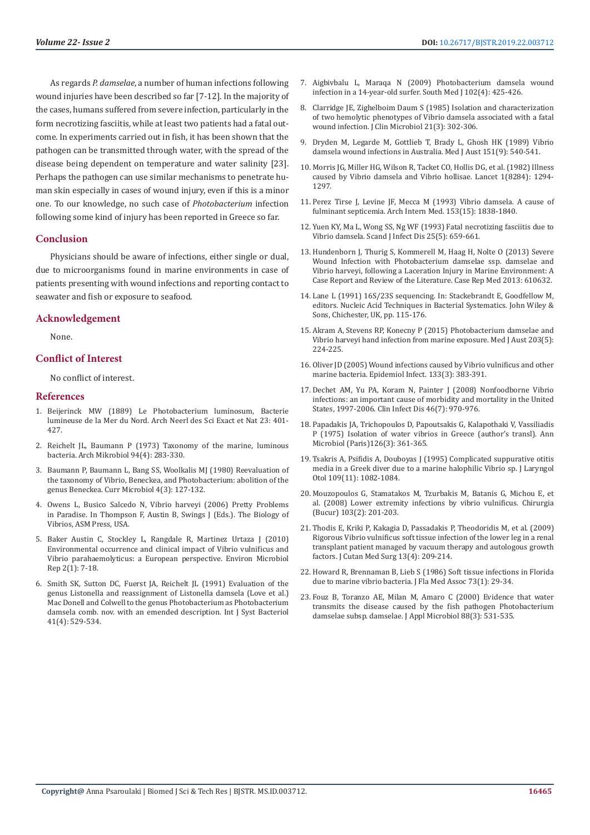As regards *P. damselae*, a number of human infections following wound injuries have been described so far [7-12]. In the majority of the cases, humans suffered from severe infection, particularly in the form necrotizing fasciitis, while at least two patients had a fatal outcome. In experiments carried out in fish, it has been shown that the pathogen can be transmitted through water, with the spread of the disease being dependent on temperature and water salinity [23]. Perhaps the pathogen can use similar mechanisms to penetrate human skin especially in cases of wound injury, even if this is a minor one. To our knowledge, no such case of *Photobacterium* infection following some kind of injury has been reported in Greece so far.

#### **Conclusion**

Physicians should be aware of infections, either single or dual, due to microorganisms found in marine environments in case of patients presenting with wound infections and reporting contact to seawater and fish or exposure to seafood.

#### **Acknowledgement**

None.

### **Conflict of Interest**

No conflict of interest.

#### **References**

- 1. Beijerinck MW (1889) Le Photobacterium luminosum, Bacterie lumineuse de la Mer du Nord. Arch Neerl des Sci Exact et Nat 23: 401- 427.
- 2. [Reichelt JL, Baumann P \(1973\) Taxonomy of the marine, luminous](https://link.springer.com/article/10.1007/BF00769027)  [bacteria. Arch Mikrobiol 94\(4\): 283-330.](https://link.springer.com/article/10.1007/BF00769027)
- 3. [Baumann P, Baumann L, Bang SS, Woolkalis MJ \(1980\) Reevaluation of](https://www.researchgate.net/publication/246924375_Reevaluation_of_the_taxonomy_of_Vibrio_beneckea_and_Photobacterium_Abolition_of_the_genus_Beneckea)  [the taxonomy of Vibrio, Beneckea, and Photobacterium: abolition of the](https://www.researchgate.net/publication/246924375_Reevaluation_of_the_taxonomy_of_Vibrio_beneckea_and_Photobacterium_Abolition_of_the_genus_Beneckea)  [genus Beneckea. Curr Microbiol 4\(3\): 127-132.](https://www.researchgate.net/publication/246924375_Reevaluation_of_the_taxonomy_of_Vibrio_beneckea_and_Photobacterium_Abolition_of_the_genus_Beneckea)
- 4. Owens L, Busico Salcedo N, Vibrio harveyi (2006) Pretty Problems in Paradise. In Thompson F, Austin B, Swings J (Eds.). The Biology of Vibrios, ASM Press, USA.
- 5. [Baker Austin C, Stockley L, Rangdale R, Martinez Urtaza J \(2010\)](https://www.ncbi.nlm.nih.gov/pubmed/23765993)  [Environmental occurrence and clinical impact of Vibrio vulnificus and](https://www.ncbi.nlm.nih.gov/pubmed/23765993)  [Vibrio parahaemolyticus: a European perspective. Environ Microbiol](https://www.ncbi.nlm.nih.gov/pubmed/23765993)  [Rep 2\(1\): 7-18.](https://www.ncbi.nlm.nih.gov/pubmed/23765993)
- 6. [Smith SK, Sutton DC, Fuerst JA, Reichelt JL \(1991\) Evaluation of the](https://www.ncbi.nlm.nih.gov/pubmed/1742198)  [genus Listonella and reassignment of Listonella damsela \(Love et al.\)](https://www.ncbi.nlm.nih.gov/pubmed/1742198)  [Mac Donell and Colwell to the genus Photobacterium as Photobacterium](https://www.ncbi.nlm.nih.gov/pubmed/1742198)  [damsela comb. nov. with an emended description. Int J Syst Bacteriol](https://www.ncbi.nlm.nih.gov/pubmed/1742198)  [41\(4\): 529-534.](https://www.ncbi.nlm.nih.gov/pubmed/1742198)
- 7. Aigbivbalu L, Maraqa N (2009) Photobacterium damsela wound infection in a 14-year-old surfer. South Med J 102(4): 425-426.
- 8. [Clarridge JE, Zighelboim Daum S \(1985\) Isolation and characterization](https://www.ncbi.nlm.nih.gov/pmc/articles/PMC271651/) [of two hemolytic phenotypes of Vibrio damsela associated with a fatal](https://www.ncbi.nlm.nih.gov/pmc/articles/PMC271651/) [wound infection. J Clin Microbiol 21\(3\): 302-306.](https://www.ncbi.nlm.nih.gov/pmc/articles/PMC271651/)
- 9. [Dryden M, Legarde M, Gottlieb T, Brady L, Ghosh HK \(1989\) Vibrio](https://www.ncbi.nlm.nih.gov/pubmed/2811729) [damsela wound infections in Australia. Med J Aust 151\(9\): 540-541.](https://www.ncbi.nlm.nih.gov/pubmed/2811729)
- 10. [Morris JG, Miller HG, Wilson R, Tacket CO, Hollis DG, et al. \(1982\) Illness](https://www.ncbi.nlm.nih.gov/pubmed/6123029) [caused by Vibrio damsela and Vibrio hollisae. Lancet 1\(8284\): 1294-](https://www.ncbi.nlm.nih.gov/pubmed/6123029) [1297.](https://www.ncbi.nlm.nih.gov/pubmed/6123029)
- 11. [Perez Tirse J, Levine JF, Mecca M \(1993\) Vibrio damsela. A cause of](https://www.ncbi.nlm.nih.gov/pubmed/8333818) [fulminant septicemia. Arch Intern Med. 153\(15\): 1838-1840.](https://www.ncbi.nlm.nih.gov/pubmed/8333818)
- 12. [Yuen KY, Ma L, Wong SS, Ng WF \(1993\) Fatal necrotizing fasciitis due to](https://www.ncbi.nlm.nih.gov/pubmed/8284652/) [Vibrio damsela. Scand J Infect Dis 25\(5\): 659-661.](https://www.ncbi.nlm.nih.gov/pubmed/8284652/)
- 13. [Hundenborn J, Thurig S, Kommerell M, Haag H, Nolte O \(2013\) Severe](https://www.ncbi.nlm.nih.gov/pubmed/24171004) [Wound Infection with Photobacterium damselae ssp. damselae and](https://www.ncbi.nlm.nih.gov/pubmed/24171004) [Vibrio harveyi, following a Laceration Injury in Marine Environment: A](https://www.ncbi.nlm.nih.gov/pubmed/24171004) [Case Report and Review of the Literature. Case Rep Med 2013: 610632.](https://www.ncbi.nlm.nih.gov/pubmed/24171004)
- 14. Lane L (1991) 16S/23S sequencing. In: Stackebrandt E, Goodfellow M, editors. Nucleic Acid Techniques in Bacterial Systematics. John Wiley & Sons, Chichester, UK, pp. 115-176.
- 15. [Akram A, Stevens RP, Konecny P \(2015\) Photobacterium damselae and](https://www.ncbi.nlm.nih.gov/pubmed/26852056) [Vibrio harveyi hand infection from marine exposure. Med J Aust 203\(5\):](https://www.ncbi.nlm.nih.gov/pubmed/26852056) [224-225.](https://www.ncbi.nlm.nih.gov/pubmed/26852056)
- 16. [Oliver JD \(2005\) Wound infections caused by Vibrio vulnificus and other](https://www.ncbi.nlm.nih.gov/pmc/articles/PMC2870261/) [marine bacteria. Epidemiol Infect. 133\(3\): 383-391.](https://www.ncbi.nlm.nih.gov/pmc/articles/PMC2870261/)
- 17. [Dechet AM, Yu PA, Koram N, Painter J \(2008\) Nonfoodborne Vibrio](https://www.ncbi.nlm.nih.gov/pubmed/18444811) [infections: an important cause of morbidity and mortality in the United](https://www.ncbi.nlm.nih.gov/pubmed/18444811) [States, 1997-2006. Clin Infect Dis 46\(7\): 970-976.](https://www.ncbi.nlm.nih.gov/pubmed/18444811)
- 18. Papadakis JA, Trichopoulos D, Papoutsakis G, Kalapothaki V, Vassiliadis P (1975) Isolation of water vibrios in Greece (author's transl). Ann Microbiol (Paris)126(3): 361-365.
- 19. [Tsakris A, Psifidis A, Douboyas J \(1995\) Complicated suppurative otitis](https://www.cambridge.org/core/journals/journal-of-laryngology-and-otology/article/complicated-suppurative-otitis-media-in-a-greek-diver-due-to-a-marine-halophilic-vibrio-sp/C426507EA8319945B5504E60A4E864E3) [media in a Greek diver due to a marine halophilic Vibrio sp. J Laryngol](https://www.cambridge.org/core/journals/journal-of-laryngology-and-otology/article/complicated-suppurative-otitis-media-in-a-greek-diver-due-to-a-marine-halophilic-vibrio-sp/C426507EA8319945B5504E60A4E864E3) [Otol 109\(11\): 1082-1084.](https://www.cambridge.org/core/journals/journal-of-laryngology-and-otology/article/complicated-suppurative-otitis-media-in-a-greek-diver-due-to-a-marine-halophilic-vibrio-sp/C426507EA8319945B5504E60A4E864E3)
- 20. [Mouzopoulos G, Stamatakos M, Tzurbakis M, Batanis G, Michou E, et](https://www.ncbi.nlm.nih.gov/pubmed/18457099) [al. \(2008\) Lower extremity infections by vibrio vulnificus. Chirurgia](https://www.ncbi.nlm.nih.gov/pubmed/18457099) [\(Bucur\) 103\(2\): 201-203.](https://www.ncbi.nlm.nih.gov/pubmed/18457099)
- 21. [Thodis E, Kriki P, Kakagia D, Passadakis P, Theodoridis M, et al. \(2009\)](https://www.ncbi.nlm.nih.gov/pubmed/19706229) [Rigorous Vibrio vulnificus soft tissue infection of the lower leg in a renal](https://www.ncbi.nlm.nih.gov/pubmed/19706229) [transplant patient managed by vacuum therapy and autologous growth](https://www.ncbi.nlm.nih.gov/pubmed/19706229) [factors. J Cutan Med Surg 13\(4\): 209-214.](https://www.ncbi.nlm.nih.gov/pubmed/19706229)
- 22. [Howard R, Brennaman B, Lieb S \(1986\) Soft tissue infections in Florida](https://www.ncbi.nlm.nih.gov/pubmed/3950570) [due to marine vibrio bacteria. J Fla Med Assoc 73\(1\): 29-34.](https://www.ncbi.nlm.nih.gov/pubmed/3950570)
- 23. [Fouz B, Toranzo AE, Milan M, Amaro C \(2000\) Evidence that water](https://www.ncbi.nlm.nih.gov/pubmed/10747234) [transmits the disease caused by the fish pathogen Photobacterium](https://www.ncbi.nlm.nih.gov/pubmed/10747234) [damselae subsp. damselae. J Appl Microbiol 88\(3\): 531-535.](https://www.ncbi.nlm.nih.gov/pubmed/10747234)